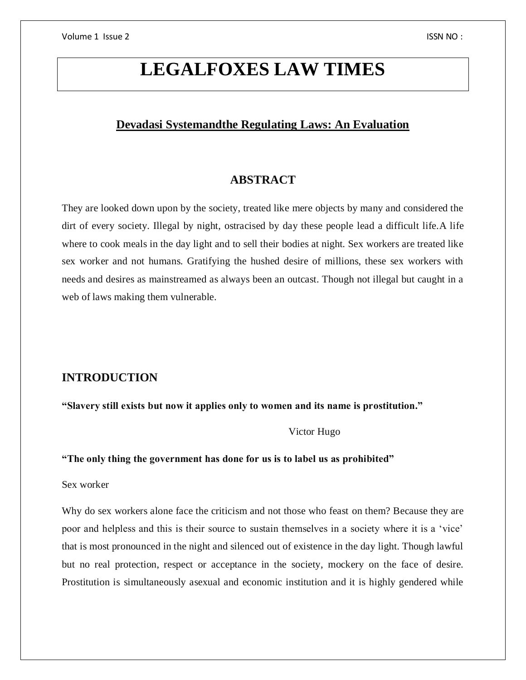# **LEGALFOXES LAW TIMES**

# **Devadasi Systemandthe Regulating Laws: An Evaluation**

# **ABSTRACT**

They are looked down upon by the society, treated like mere objects by many and considered the dirt of every society. Illegal by night, ostracised by day these people lead a difficult life.A life where to cook meals in the day light and to sell their bodies at night. Sex workers are treated like sex worker and not humans. Gratifying the hushed desire of millions, these sex workers with needs and desires as mainstreamed as always been an outcast. Though not illegal but caught in a web of laws making them vulnerable.

# **INTRODUCTION**

**"Slavery still exists but now it applies only to women and its name is prostitution."**

Victor Hugo

**"The only thing the government has done for us is to label us as prohibited"**

Sex worker

Why do sex workers alone face the criticism and not those who feast on them? Because they are poor and helpless and this is their source to sustain themselves in a society where it is a 'vice' that is most pronounced in the night and silenced out of existence in the day light. Though lawful but no real protection, respect or acceptance in the society, mockery on the face of desire. Prostitution is simultaneously asexual and economic institution and it is highly gendered while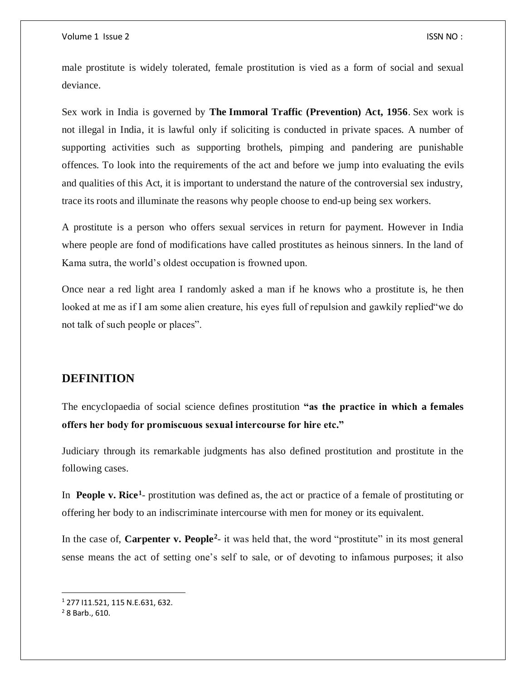male prostitute is widely tolerated, female prostitution is vied as a form of social and sexual deviance.

Sex work in India is governed by **The [Immoral Traffic \(Prevention\) Act, 1956](https://indiacode.nic.in/bitstream/123456789/1661/1/1956104.pdf)**. Sex work is not illegal in India, it is lawful only if soliciting is conducted in private spaces. A number of supporting activities such as supporting brothels, pimping and pandering are punishable offences. To look into the requirements of the act and before we jump into evaluating the evils and qualities of this Act, it is important to understand the nature of the controversial sex industry, trace its roots and illuminate the reasons why people choose to end-up being sex workers.

A prostitute is a person who offers sexual services in return for payment. However in India where people are fond of modifications have called prostitutes as heinous sinners. In the land of Kama sutra, the world's oldest occupation is frowned upon.

Once near a red light area I randomly asked a man if he knows who a prostitute is, he then looked at me as if I am some alien creature, his eyes full of repulsion and gawkily replied"we do not talk of such people or places".

## **DEFINITION**

The encyclopaedia of social science defines prostitution **"as the practice in which a females offers her body for promiscuous sexual intercourse for hire etc."**

Judiciary through its remarkable judgments has also defined prostitution and prostitute in the following cases.

In **People v. Rice<sup>1</sup>**- prostitution was defined as, the act or practice of a female of prostituting or offering her body to an indiscriminate intercourse with men for money or its equivalent.

In the case of, **Carpenter v. People<sup>2</sup>**- it was held that, the word "prostitute" in its most general sense means the act of setting one's self to sale, or of devoting to infamous purposes; it also

 $\overline{a}$ 

<sup>1</sup> 277 I11.521, 115 N.E.631, 632.

<sup>2</sup> 8 Barb., 610.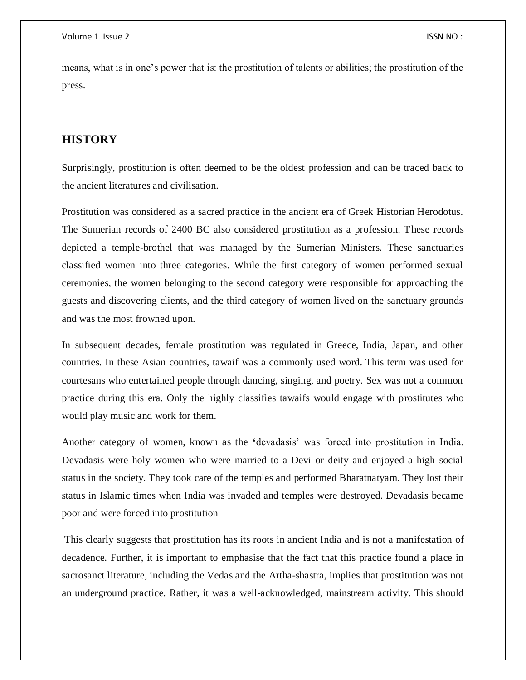means, what is in one's power that is: the prostitution of talents or abilities; the prostitution of the press.

# **HISTORY**

Surprisingly, prostitution is often deemed to be the oldest profession and can be traced back to the ancient literatures and civilisation.

Prostitution was considered as a sacred practice in the ancient era of Greek Historian Herodotus. The Sumerian records of 2400 BC also considered prostitution as a profession. These records depicted a temple-brothel that was managed by the Sumerian Ministers. These sanctuaries classified women into three categories. While the first category of women performed sexual ceremonies, the women belonging to the second category were responsible for approaching the guests and discovering clients, and the third category of women lived on the sanctuary grounds and was the most frowned upon.

In subsequent decades, female prostitution was regulated in Greece, India, Japan, and other countries. In these Asian countries, tawaif was a commonly used word. This term was used for courtesans who entertained people through dancing, singing, and poetry. Sex was not a common practice during this era. Only the highly classifies tawaifs would engage with prostitutes who would play music and work for them.

Another category of women, known as the **'**devadasis' was forced into prostitution in India. Devadasis were holy women who were married to a Devi or deity and enjoyed a high social status in the society. They took care of the temples and performed Bharatnatyam. They lost their status in Islamic times when India was invaded and temples were destroyed. Devadasis became poor and were forced into prostitution

This clearly suggests that prostitution has its roots in ancient India and is not a manifestation of decadence. Further, it is important to emphasise that the fact that this practice found a place in sacrosanct literature, including the [Vedas](http://vcckarad.com/Minor%20Research%20Project%20on%20HISTORICAL%20STUDY%20OF%20PROSTITUTION%20TRADE%20IN%20INDIA%20%20%20PAST%20AND%20PRESENT.pdf) and the Artha-shastra, implies that prostitution was not an underground practice. Rather, it was a well-acknowledged, mainstream activity. This should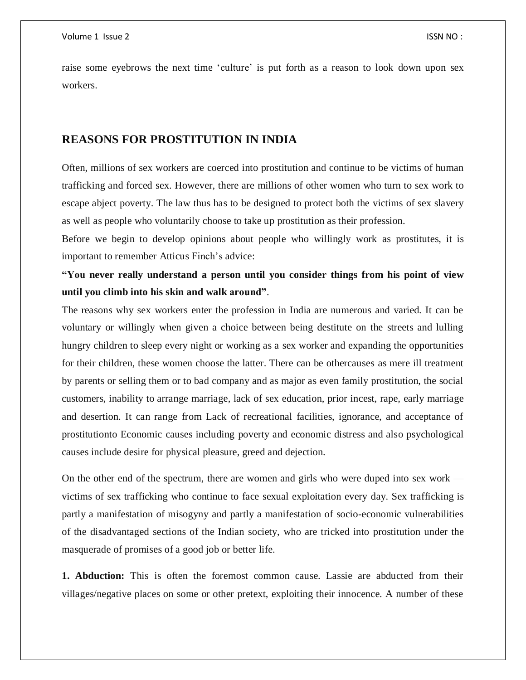raise some eyebrows the next time 'culture' is put forth as a reason to look down upon sex workers.

## **REASONS FOR PROSTITUTION IN INDIA**

Often, millions of sex workers are coerced into prostitution and continue to be victims of human trafficking and forced sex. However, there are millions of other women who turn to sex work to escape abject poverty. The law thus has to be designed to protect both the victims of sex slavery as well as people who voluntarily choose to take up prostitution as their profession.

Before we begin to develop opinions about people who willingly work as prostitutes, it is important to remember Atticus Finch's advice:

**"You never really understand a person until you consider things from his point of view until you climb into his skin and walk around"**.

The reasons why sex workers enter the profession in India are numerous and varied. It can be voluntary or willingly when given a choice between being destitute on the streets and lulling hungry children to sleep every night or working as a sex worker and expanding the opportunities for their children, these women choose the latter. There can be othercauses as mere ill treatment by parents or selling them or to bad company and as major as even family prostitution, the social customers, inability to arrange marriage, lack of sex education, prior incest, rape, early marriage and desertion. It can range from Lack of recreational facilities, ignorance, and acceptance of prostitutionto Economic causes including poverty and economic distress and also psychological causes include desire for physical pleasure, greed and dejection.

On the other end of the spectrum, there are women and girls who were duped into sex work victims of sex trafficking who continue to face sexual exploitation every day. Sex trafficking is partly a manifestation of misogyny and partly a manifestation of socio-economic vulnerabilities of the disadvantaged sections of the Indian society, who are tricked into prostitution under the masquerade of promises of a good job or better life.

**1. Abduction:** This is often the foremost common cause. Lassie are abducted from their villages/negative places on some or other pretext, exploiting their innocence. A number of these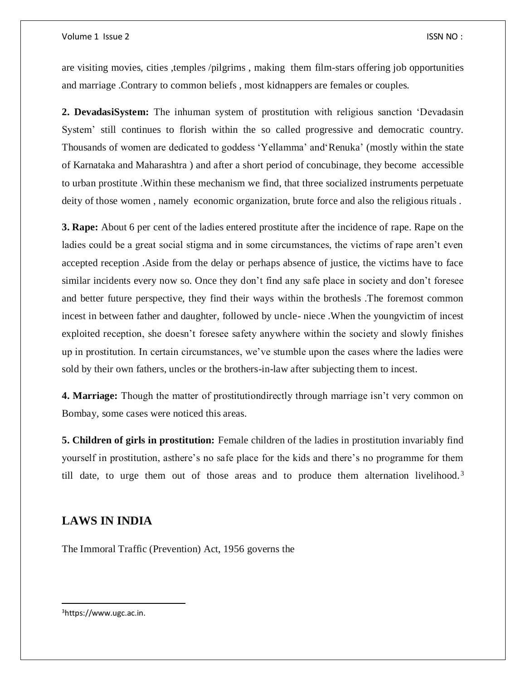are visiting movies, cities ,temples /pilgrims , making them film-stars offering job opportunities and marriage .Contrary to common beliefs , most kidnappers are females or couples.

**2. DevadasiSystem:** The inhuman system of prostitution with religious sanction 'Devadasin System' still continues to florish within the so called progressive and democratic country. Thousands of women are dedicated to goddess 'Yellamma' and'Renuka' (mostly within the state of Karnataka and Maharashtra ) and after a short period of concubinage, they become accessible to urban prostitute .Within these mechanism we find, that three socialized instruments perpetuate deity of those women , namely economic organization, brute force and also the religious rituals .

**3. Rape:** About 6 per cent of the ladies entered prostitute after the incidence of rape. Rape on the ladies could be a great social stigma and in some circumstances, the victims of rape aren't even accepted reception .Aside from the delay or perhaps absence of justice, the victims have to face similar incidents every now so. Once they don't find any safe place in society and don't foresee and better future perspective, they find their ways within the brothesls .The foremost common incest in between father and daughter, followed by uncle- niece .When the youngvictim of incest exploited reception, she doesn't foresee safety anywhere within the society and slowly finishes up in prostitution. In certain circumstances, we've stumble upon the cases where the ladies were sold by their own fathers, uncles or the brothers-in-law after subjecting them to incest.

**4. Marriage:** Though the matter of prostitutiondirectly through marriage isn't very common on Bombay, some cases were noticed this areas.

**5. Children of girls in prostitution:** Female children of the ladies in prostitution invariably find yourself in prostitution, asthere's no safe place for the kids and there's no programme for them till date, to urge them out of those areas and to produce them alternation livelihood.<sup>3</sup>

# **LAWS IN INDIA**

The [Immoral Traffic \(Prevention\) Act, 1956](https://indiacode.nic.in/bitstream/123456789/1661/1/1956104.pdf) governs the

3https://www.ugc.ac.in.

 $\overline{a}$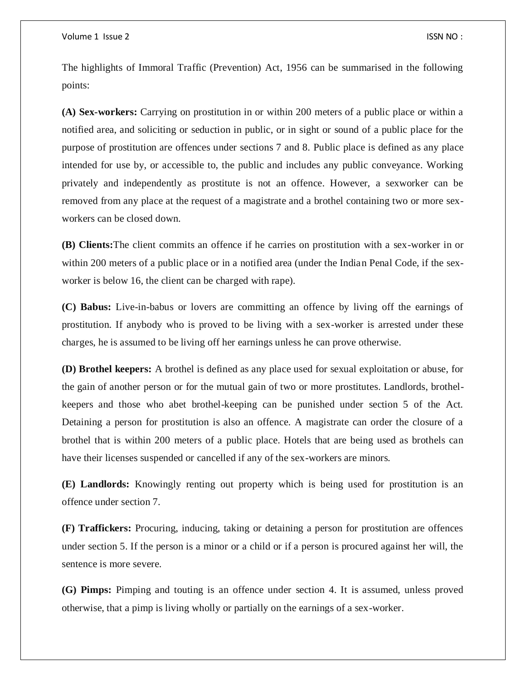The highlights of Immoral Traffic (Prevention) Act, 1956 can be summarised in the following points:

**(A) Sex-workers:** Carrying on prostitution in or within 200 meters of a public place or within a notified area, and soliciting or seduction in public, or in sight or sound of a public place for the purpose of prostitution are offences under sections 7 and 8. Public place is defined as any place intended for use by, or accessible to, the public and includes any public conveyance. Working privately and independently as prostitute is not an offence. However, a sexworker can be removed from any place at the request of a magistrate and a brothel containing two or more sexworkers can be closed down.

**(B) Clients:**The client commits an offence if he carries on prostitution with a sex-worker in or within 200 meters of a public place or in a notified area (under the Indian Penal Code, if the sexworker is below 16, the client can be charged with rape).

**(C) Babus:** Live-in-babus or lovers are committing an offence by living off the earnings of prostitution. If anybody who is proved to be living with a sex-worker is arrested under these charges, he is assumed to be living off her earnings unless he can prove otherwise.

**(D) Brothel keepers:** A brothel is defined as any place used for sexual exploitation or abuse, for the gain of another person or for the mutual gain of two or more prostitutes. Landlords, brothelkeepers and those who abet brothel-keeping can be punished under section 5 of the Act. Detaining a person for prostitution is also an offence. A magistrate can order the closure of a brothel that is within 200 meters of a public place. Hotels that are being used as brothels can have their licenses suspended or cancelled if any of the sex-workers are minors.

**(E) Landlords:** Knowingly renting out property which is being used for prostitution is an offence under section 7.

**(F) Traffickers:** Procuring, inducing, taking or detaining a person for prostitution are offences under section 5. If the person is a minor or a child or if a person is procured against her will, the sentence is more severe.

**(G) Pimps:** Pimping and touting is an offence under section 4. It is assumed, unless proved otherwise, that a pimp is living wholly or partially on the earnings of a sex-worker.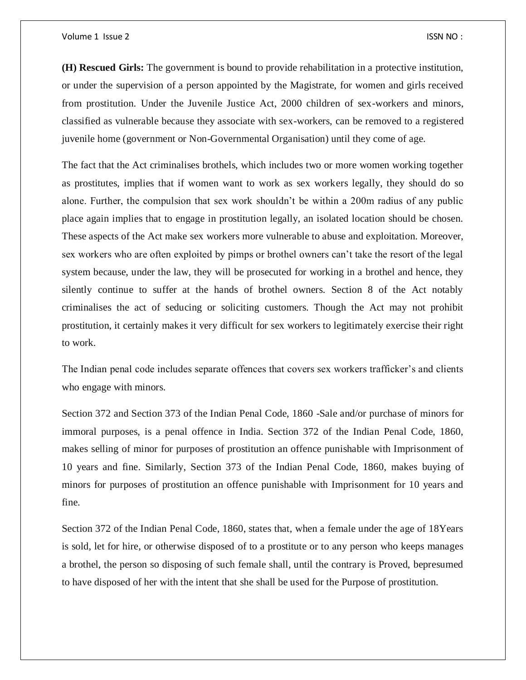**(H) Rescued Girls:** The government is bound to provide rehabilitation in a protective institution, or under the supervision of a person appointed by the Magistrate, for women and girls received from prostitution. Under the Juvenile Justice Act, 2000 children of sex-workers and minors, classified as vulnerable because they associate with sex-workers, can be removed to a registered juvenile home (government or Non-Governmental Organisation) until they come of age.

The fact that the Act criminalises brothels, which includes two or more women working together as prostitutes, implies that if women want to work as sex workers legally, they should do so alone. Further, the compulsion that sex work shouldn't be within a 200m radius of any public place again implies that to engage in prostitution legally, an isolated location should be chosen. These aspects of the Act make sex workers more vulnerable to abuse and exploitation. Moreover, sex workers who are often exploited by pimps or brothel owners can't take the resort of the legal system because, under the law, they will be prosecuted for working in a brothel and hence, they silently continue to suffer at the hands of brothel owners. Section 8 of the Act notably criminalises the act of seducing or soliciting customers. Though the Act may not prohibit prostitution, it certainly makes it very difficult for sex workers to legitimately exercise their right to work.

The Indian penal code includes separate offences that covers sex workers trafficker's and clients who engage with minors.

Section 372 and Section 373 of the Indian Penal Code, 1860 -Sale and/or purchase of minors for immoral purposes, is a penal offence in India. Section 372 of the Indian Penal Code, 1860, makes selling of minor for purposes of prostitution an offence punishable with Imprisonment of 10 years and fine. Similarly, Section 373 of the Indian Penal Code, 1860, makes buying of minors for purposes of prostitution an offence punishable with Imprisonment for 10 years and fine.

Section 372 of the Indian Penal Code, 1860, states that, when a female under the age of 18Years is sold, let for hire, or otherwise disposed of to a prostitute or to any person who keeps manages a brothel, the person so disposing of such female shall, until the contrary is Proved, bepresumed to have disposed of her with the intent that she shall be used for the Purpose of prostitution.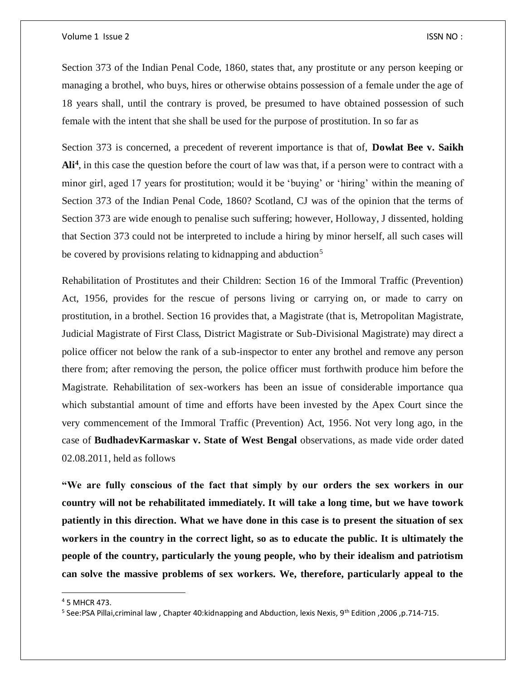Section 373 of the Indian Penal Code, 1860, states that, any prostitute or any person keeping or managing a brothel, who buys, hires or otherwise obtains possession of a female under the age of 18 years shall, until the contrary is proved, be presumed to have obtained possession of such female with the intent that she shall be used for the purpose of prostitution. In so far as

Section 373 is concerned, a precedent of reverent importance is that of, **Dowlat Bee v. Saikh Ali<sup>4</sup>** , in this case the question before the court of law was that, if a person were to contract with a minor girl, aged 17 years for prostitution; would it be 'buying' or 'hiring' within the meaning of Section 373 of the Indian Penal Code, 1860? Scotland, CJ was of the opinion that the terms of Section 373 are wide enough to penalise such suffering; however, Holloway, J dissented, holding that Section 373 could not be interpreted to include a hiring by minor herself, all such cases will be covered by provisions relating to kidnapping and abduction<sup>5</sup>

Rehabilitation of Prostitutes and their Children: Section 16 of the Immoral Traffic (Prevention) Act, 1956, provides for the rescue of persons living or carrying on, or made to carry on prostitution, in a brothel. Section 16 provides that, a Magistrate (that is, Metropolitan Magistrate, Judicial Magistrate of First Class, District Magistrate or Sub-Divisional Magistrate) may direct a police officer not below the rank of a sub-inspector to enter any brothel and remove any person there from; after removing the person, the police officer must forthwith produce him before the Magistrate. Rehabilitation of sex-workers has been an issue of considerable importance qua which substantial amount of time and efforts have been invested by the Apex Court since the very commencement of the Immoral Traffic (Prevention) Act, 1956. Not very long ago, in the case of **BudhadevKarmaskar v. State of West Bengal** observations, as made vide order dated 02.08.2011, held as follows

**"We are fully conscious of the fact that simply by our orders the sex workers in our country will not be rehabilitated immediately. It will take a long time, but we have towork patiently in this direction. What we have done in this case is to present the situation of sex workers in the country in the correct light, so as to educate the public. It is ultimately the people of the country, particularly the young people, who by their idealism and patriotism can solve the massive problems of sex workers. We, therefore, particularly appeal to the** 

 $\overline{a}$ 

<sup>4</sup> 5 MHCR 473.

<sup>5</sup> See:PSA Pillai,criminal law , Chapter 40:kidnapping and Abduction, lexis Nexis, 9th Edition ,2006 ,p.714-715.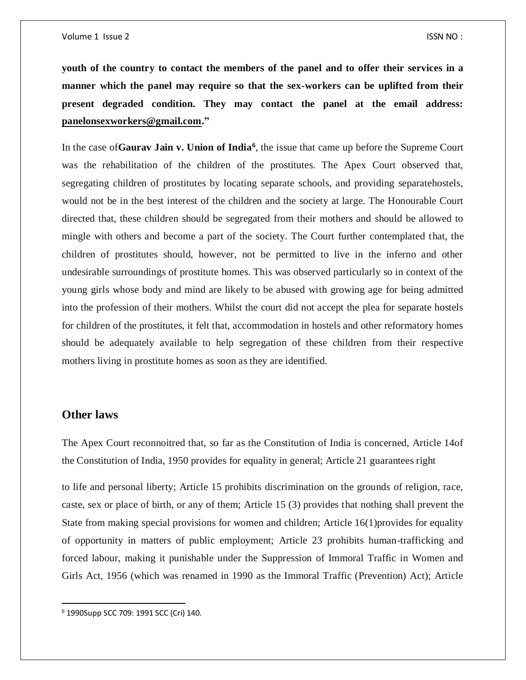**youth of the country to contact the members of the panel and to offer their services in a manner which the panel may require so that the sex-workers can be uplifted from their present degraded condition. They may contact the panel at the email address: [panelonsexworkers@gmail.com.](mailto:panelonsexworkers@gmail.com)"**

In the case of**Gaurav Jain v. Union of India<sup>6</sup>** , the issue that came up before the Supreme Court was the rehabilitation of the children of the prostitutes. The Apex Court observed that, segregating children of prostitutes by locating separate schools, and providing separatehostels, would not be in the best interest of the children and the society at large. The Honourable Court directed that, these children should be segregated from their mothers and should be allowed to mingle with others and become a part of the society. The Court further contemplated that, the children of prostitutes should, however, not be permitted to live in the inferno and other undesirable surroundings of prostitute homes. This was observed particularly so in context of the young girls whose body and mind are likely to be abused with growing age for being admitted into the profession of their mothers. Whilst the court did not accept the plea for separate hostels for children of the prostitutes, it felt that, accommodation in hostels and other reformatory homes should be adequately available to help segregation of these children from their respective mothers living in prostitute homes as soon as they are identified.

### **Other laws**

 $\overline{a}$ 

The Apex Court reconnoitred that, so far as the Constitution of India is concerned, Article 14of the Constitution of India, 1950 provides for equality in general; Article 21 guarantees right

to life and personal liberty; Article 15 prohibits discrimination on the grounds of religion, race, caste, sex or place of birth, or any of them; Article 15 (3) provides that nothing shall prevent the State from making special provisions for women and children; Article 16(1)provides for equality of opportunity in matters of public employment; Article 23 prohibits human-trafficking and forced labour, making it punishable under the Suppression of Immoral Traffic in Women and Girls Act, 1956 (which was renamed in 1990 as the Immoral Traffic (Prevention) Act); Article

<sup>6</sup> 1990Supp SCC 709: 1991 SCC (Cri) 140.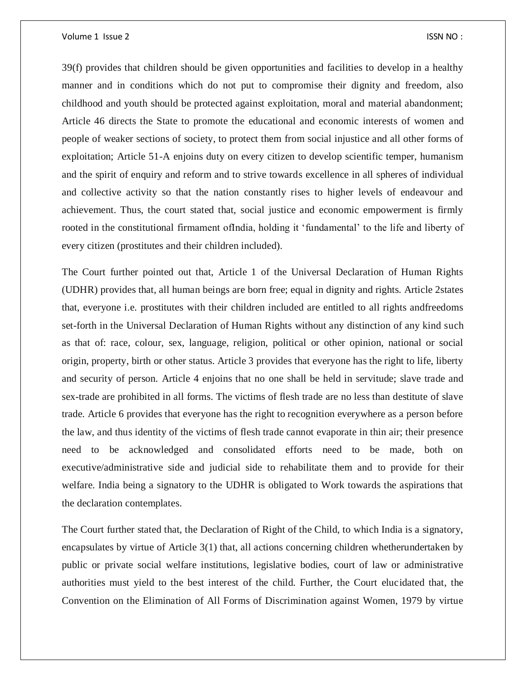39(f) provides that children should be given opportunities and facilities to develop in a healthy manner and in conditions which do not put to compromise their dignity and freedom, also childhood and youth should be protected against exploitation, moral and material abandonment; Article 46 directs the State to promote the educational and economic interests of women and people of weaker sections of society, to protect them from social injustice and all other forms of exploitation; Article 51-A enjoins duty on every citizen to develop scientific temper, humanism and the spirit of enquiry and reform and to strive towards excellence in all spheres of individual and collective activity so that the nation constantly rises to higher levels of endeavour and achievement. Thus, the court stated that, social justice and economic empowerment is firmly rooted in the constitutional firmament ofIndia, holding it 'fundamental' to the life and liberty of every citizen (prostitutes and their children included).

The Court further pointed out that, Article 1 of the Universal Declaration of Human Rights (UDHR) provides that, all human beings are born free; equal in dignity and rights. Article 2states that, everyone i.e. prostitutes with their children included are entitled to all rights andfreedoms set-forth in the Universal Declaration of Human Rights without any distinction of any kind such as that of: race, colour, sex, language, religion, political or other opinion, national or social origin, property, birth or other status. Article 3 provides that everyone has the right to life, liberty and security of person. Article 4 enjoins that no one shall be held in servitude; slave trade and sex-trade are prohibited in all forms. The victims of flesh trade are no less than destitute of slave trade. Article 6 provides that everyone has the right to recognition everywhere as a person before the law, and thus identity of the victims of flesh trade cannot evaporate in thin air; their presence need to be acknowledged and consolidated efforts need to be made, both on executive/administrative side and judicial side to rehabilitate them and to provide for their welfare. India being a signatory to the UDHR is obligated to Work towards the aspirations that the declaration contemplates.

The Court further stated that, the Declaration of Right of the Child, to which India is a signatory, encapsulates by virtue of Article 3(1) that, all actions concerning children whetherundertaken by public or private social welfare institutions, legislative bodies, court of law or administrative authorities must yield to the best interest of the child. Further, the Court elucidated that, the Convention on the Elimination of All Forms of Discrimination against Women, 1979 by virtue